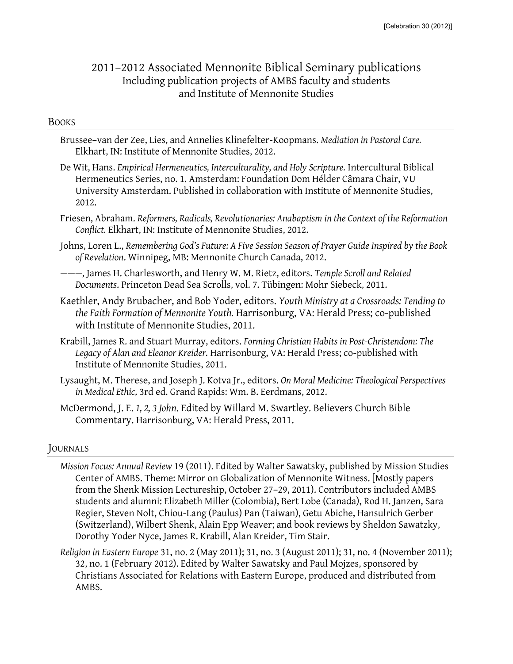# 2011–2012 Associated Mennonite Biblical Seminary publications Including publication projects of AMBS faculty and students and Institute of Mennonite Studies

#### BOOKS

- Brussee–van der Zee, Lies, and Annelies Klinefelter-Koopmans. *Mediation in Pastoral Care.* Elkhart, IN: Institute of Mennonite Studies, 2012.
- De Wit, Hans. *Empirical Hermeneutics, Interculturality, and Holy Scripture.* Intercultural Biblical Hermeneutics Series, no. 1. Amsterdam: Foundation Dom Hélder Câmara Chair, VU University Amsterdam. Published in collaboration with Institute of Mennonite Studies, 2012.
- Friesen, Abraham. *Reformers, Radicals, Revolutionaries: Anabaptism in the Context of the Reformation Conflict.* Elkhart, IN: Institute of Mennonite Studies, 2012.
- Johns, Loren L., *Remembering God's Future: A Five Session Season of Prayer Guide Inspired by the Book of Revelation*. Winnipeg, MB: Mennonite Church Canada, 2012.
- *———,* James H. Charlesworth, and Henry W. M. Rietz, editors. *Temple Scroll and Related Documents*. Princeton Dead Sea Scrolls, vol. 7. Tübingen: Mohr Siebeck, 2011.
- Kaethler, Andy Brubacher, and Bob Yoder, editors. *Youth Ministry at a Crossroads: Tending to the Faith Formation of Mennonite Youth.* Harrisonburg, VA: Herald Press; co-published with Institute of Mennonite Studies, 2011.
- Krabill, James R. and Stuart Murray, editors. *Forming Christian Habits in Post-Christendom: The Legacy of Alan and Eleanor Kreider.* Harrisonburg, VA: Herald Press; co-published with Institute of Mennonite Studies, 2011.
- Lysaught, M. Therese, and Joseph J. Kotva Jr., editors. *On Moral Medicine: Theological Perspectives in Medical Ethic,* 3rd ed. Grand Rapids: Wm. B. Eerdmans, 2012.
- McDermond, J. E. *1, 2, 3 John*. Edited by Willard M. Swartley. Believers Church Bible Commentary. Harrisonburg, VA: Herald Press, 2011.

### JOURNALS

- *Mission Focus: Annual Review* 19 (2011). Edited by Walter Sawatsky, published by Mission Studies Center of AMBS. Theme: Mirror on Globalization of Mennonite Witness. [Mostly papers from the Shenk Mission Lectureship, October 27–29, 2011). Contributors included AMBS students and alumni: Elizabeth Miller (Colombia), Bert Lobe (Canada), Rod H. Janzen, Sara Regier, Steven Nolt, Chiou-Lang (Paulus) Pan (Taiwan), Getu Abiche, Hansulrich Gerber (Switzerland), Wilbert Shenk, Alain Epp Weaver; and book reviews by Sheldon Sawatzky, Dorothy Yoder Nyce, James R. Krabill, Alan Kreider, Tim Stair.
- *Religion in Eastern Europe* 31, no. 2 (May 2011); 31, no. 3 (August 2011); 31, no. 4 (November 2011); 32, no. 1 (February 2012). Edited by Walter Sawatsky and Paul Mojzes, sponsored by Christians Associated for Relations with Eastern Europe, produced and distributed from AMBS.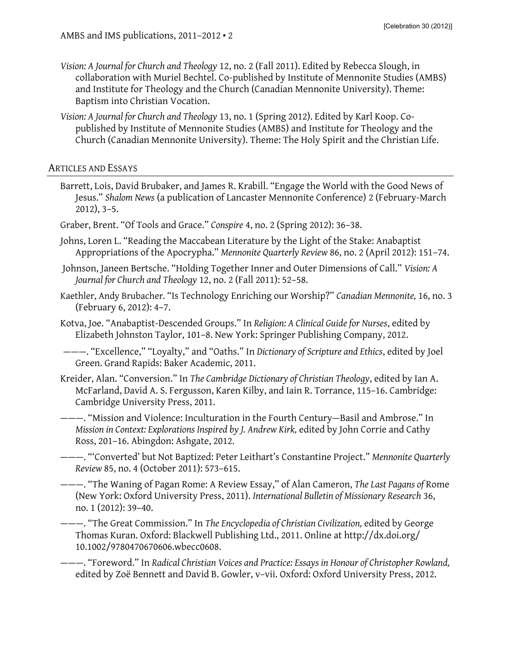- *Vision: A Journal for Church and Theology* 12, no. 2 (Fall 2011). Edited by Rebecca Slough, in collaboration with Muriel Bechtel. Co-published by Institute of Mennonite Studies (AMBS) and Institute for Theology and the Church (Canadian Mennonite University). Theme: Baptism into Christian Vocation.
- *Vision: A Journal for Church and Theology* 13, no. 1 (Spring 2012). Edited by Karl Koop. Copublished by Institute of Mennonite Studies (AMBS) and Institute for Theology and the Church (Canadian Mennonite University). Theme: The Holy Spirit and the Christian Life.

## ARTICLES AND ESSAYS

- Barrett, Lois, David Brubaker, and James R. Krabill. "Engage the World with the Good News of Jesus." *Shalom News* (a publication of Lancaster Mennonite Conference) 2 (February-March 2012), 3–5.
- Graber, Brent. "Of Tools and Grace." *Conspire* 4, no. 2 (Spring 2012): 36–38.
- Johns, Loren L. "Reading the Maccabean Literature by the Light of the Stake: Anabaptist Appropriations of the Apocrypha." *Mennonite Quarterly Review* 86, no. 2 (April 2012): 151–74.
- Johnson, Janeen Bertsche. "Holding Together Inner and Outer Dimensions of Call." *Vision: A Journal for Church and Theology* 12, no. 2 (Fall 2011): 52–58.
- Kaethler, Andy Brubacher. "Is Technology Enriching our Worship?" *Canadian Mennonite,* 16, no. 3 (February 6, 2012): 4–7.
- Kotva, Joe. "Anabaptist-Descended Groups." In *Religion: A Clinical Guide for Nurses*, edited by Elizabeth Johnston Taylor, 101–8. New York: Springer Publishing Company, 2012.

———. "Excellence," "Loyalty," and "Oaths." In *Dictionary of Scripture and Ethics*, edited by Joel Green. Grand Rapids: Baker Academic, 2011.

- Kreider, Alan. "Conversion." In *The Cambridge Dictionary of Christian Theology*, edited by Ian A. McFarland, David A. S. Fergusson, Karen Kilby, and Iain R. Torrance, 115–16. Cambridge: Cambridge University Press, 2011.
- ———. "Mission and Violence: Inculturation in the Fourth Century—Basil and Ambrose." In *Mission in Context: Explorations Inspired by J. Andrew Kirk,* edited by John Corrie and Cathy Ross, 201–16. Abingdon: Ashgate, 2012.
- ———. "'Converted' but Not Baptized: Peter Leithart's Constantine Project." *Mennonite Quarterly Review* 85, no. 4 (October 2011): 573–615.
- ———. "The Waning of Pagan Rome: A Review Essay," of Alan Cameron, *The Last Pagans of* Rome (New York: Oxford University Press, 2011). *International Bulletin of Missionary Research* 36, no. 1 (2012): 39–40.
- ———. "The Great Commission." In *The Encyclopedia of Christian Civilization,* edited by George Thomas Kuran. Oxford: Blackwell Publishing Ltd., 2011. Online at http://dx.doi.org/ 10.1002/9780470670606.wbecc0608.
- ———. "Foreword." In *Radical Christian Voices and Practice: Essays in Honour of Christopher Rowland,* edited by Zoë Bennett and David B. Gowler, v–vii. Oxford: Oxford University Press, 2012.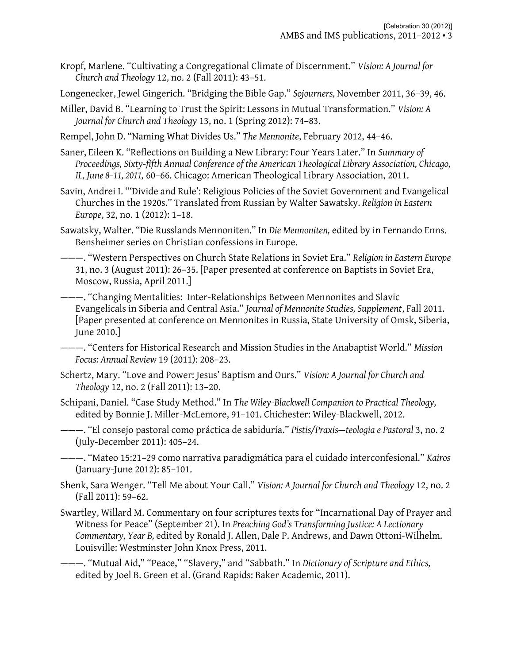- Kropf, Marlene. "Cultivating a Congregational Climate of Discernment." *Vision: A Journal for Church and Theology* 12, no. 2 (Fall 2011): 43–51.
- Longenecker, Jewel Gingerich. "Bridging the Bible Gap." *Sojourners,* November 2011, 36–39, 46.
- Miller, David B. "Learning to Trust the Spirit: Lessons in Mutual Transformation." *Vision: A Journal for Church and Theology* 13, no. 1 (Spring 2012): 74–83.
- Rempel, John D. "Naming What Divides Us." *The Mennonite*, February 2012, 44–46.
- Saner, Eileen K. "Reflections on Building a New Library: Four Years Later." In *Summary of Proceedings, Sixty-fifth Annual Conference of the American Theological Library Association, Chicago, IL, June 8–11, 2011,* 60–66. Chicago: American Theological Library Association, 2011.
- Savin, Andrei I. "'Divide and Rule': Religious Policies of the Soviet Government and Evangelical Churches in the 1920s." Translated from Russian by Walter Sawatsky. *Religion in Eastern Europe*, 32, no. 1 (2012): 1–18.
- Sawatsky, Walter. "Die Russlands Mennoniten." In *Die Mennoniten,* edited by in Fernando Enns. Bensheimer series on Christian confessions in Europe.
- ———. "Western Perspectives on Church State Relations in Soviet Era." *Religion in Eastern Europe* 31, no. 3 (August 2011): 26–35. [Paper presented at conference on Baptists in Soviet Era, Moscow, Russia, April 2011.]
- ———. "Changing Mentalities: Inter-Relationships Between Mennonites and Slavic Evangelicals in Siberia and Central Asia." *Journal of Mennonite Studies, Supplement*, Fall 2011. [Paper presented at conference on Mennonites in Russia, State University of Omsk, Siberia, June 2010.]
- ———. "Centers for Historical Research and Mission Studies in the Anabaptist World." *Mission Focus: Annual Review* 19 (2011): 208–23.
- Schertz, Mary. "Love and Power: Jesus' Baptism and Ours." *Vision: A Journal for Church and Theology* 12, no. 2 (Fall 2011): 13–20.
- Schipani, Daniel. "Case Study Method." In *The Wiley-Blackwell Companion to Practical Theology,* edited by Bonnie J. Miller-McLemore, 91–101. Chichester: Wiley-Blackwell, 2012.
- ———. "El consejo pastoral como práctica de sabiduría." *Pistis/Praxis—teologia e Pastoral* 3, no. 2 (July-December 2011): 405–24.
- ———. "Mateo 15:21–29 como narrativa paradigmática para el cuidado interconfesional." *Kairos* (January-June 2012): 85–101.
- Shenk, Sara Wenger. "Tell Me about Your Call." *Vision: A Journal for Church and Theology* 12, no. 2 (Fall 2011): 59–62.
- Swartley, Willard M. Commentary on four scriptures texts for "Incarnational Day of Prayer and Witness for Peace" (September 21). In *Preaching God's Transforming Justice: A Lectionary Commentary, Year B,* edited by Ronald J. Allen, Dale P. Andrews, and Dawn Ottoni-Wilhelm. Louisville: Westminster John Knox Press, 2011.
- ———. "Mutual Aid," "Peace," "Slavery," and "Sabbath." In *Dictionary of Scripture and Ethics,* edited by Joel B. Green et al. (Grand Rapids: Baker Academic, 2011).